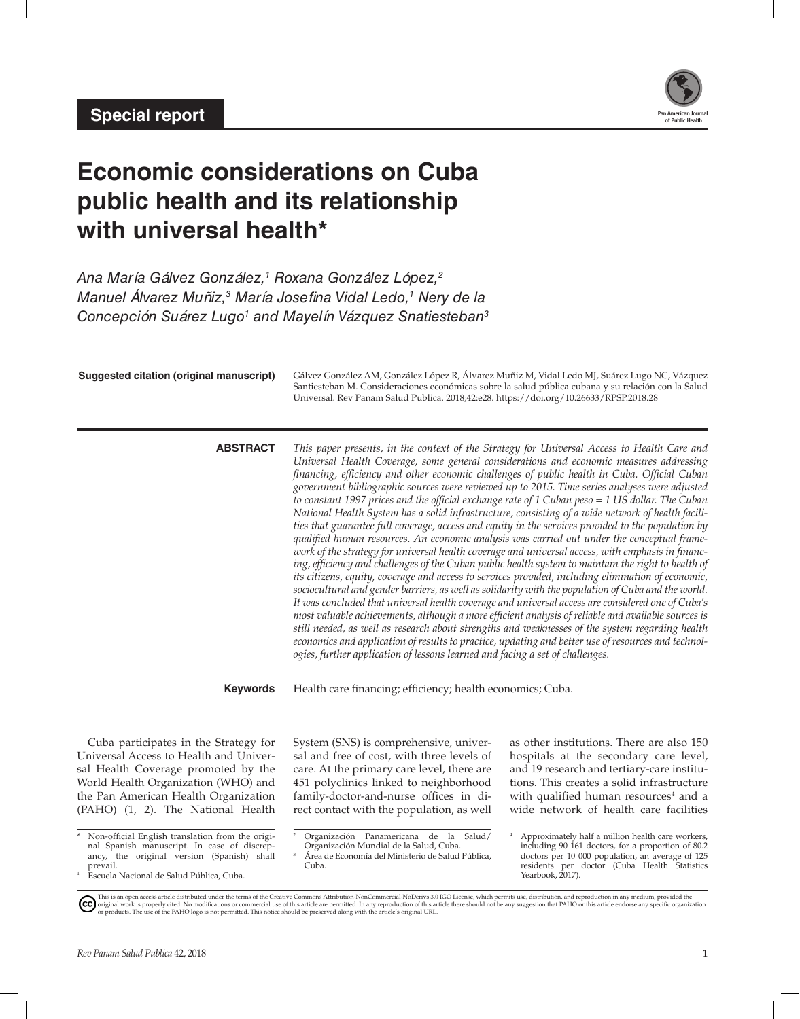

# **Economic considerations on Cuba public health and its relationship with universal health\***

*Ana María Gálvez González,1 Roxana González López,2 Manuel Álvarez Muñiz,3 María Josefina Vidal Ledo,1 Nery de la Concepción Suárez Lugo1 and Mayelín Vázquez Snatiesteban3*

| <b>Suggested citation (original manuscript)</b>                                                                                                                                                                                                                                                                                                                                                                                                                      | Universal. Rev Panam Salud Publica. 2018;42:e28. https://doi.org/10.26633/RPSP.2018.28                                                                                                                                                                                                                                                                                                                                                                                                                                                                                                                                                                                                                                                                                                                                                                                                                                                                                                                                                                                                                                                                                                                                                                                                                                                                                                                                                                                                                                                                                                                                                                                                                                               | Gálvez González AM, González López R, Álvarez Muñiz M, Vidal Ledo MJ, Suárez Lugo NC, Vázquez<br>Santiesteban M. Consideraciones económicas sobre la salud pública cubana y su relación con la Salud                                                                                                                                                                                                                                                                                                              |
|----------------------------------------------------------------------------------------------------------------------------------------------------------------------------------------------------------------------------------------------------------------------------------------------------------------------------------------------------------------------------------------------------------------------------------------------------------------------|--------------------------------------------------------------------------------------------------------------------------------------------------------------------------------------------------------------------------------------------------------------------------------------------------------------------------------------------------------------------------------------------------------------------------------------------------------------------------------------------------------------------------------------------------------------------------------------------------------------------------------------------------------------------------------------------------------------------------------------------------------------------------------------------------------------------------------------------------------------------------------------------------------------------------------------------------------------------------------------------------------------------------------------------------------------------------------------------------------------------------------------------------------------------------------------------------------------------------------------------------------------------------------------------------------------------------------------------------------------------------------------------------------------------------------------------------------------------------------------------------------------------------------------------------------------------------------------------------------------------------------------------------------------------------------------------------------------------------------------|-------------------------------------------------------------------------------------------------------------------------------------------------------------------------------------------------------------------------------------------------------------------------------------------------------------------------------------------------------------------------------------------------------------------------------------------------------------------------------------------------------------------|
| <b>ABSTRACT</b>                                                                                                                                                                                                                                                                                                                                                                                                                                                      | This paper presents, in the context of the Strategy for Universal Access to Health Care and<br>Universal Health Coverage, some general considerations and economic measures addressing<br>financing, efficiency and other economic challenges of public health in Cuba. Official Cuban<br>government bibliographic sources were reviewed up to 2015. Time series analyses were adjusted<br>to constant 1997 prices and the official exchange rate of 1 Cuban peso = 1 US dollar. The Cuban<br>National Health System has a solid infrastructure, consisting of a wide network of health facili-<br>ties that guarantee full coverage, access and equity in the services provided to the population by<br>qualified human resources. An economic analysis was carried out under the conceptual frame-<br>work of the strategy for universal health coverage and universal access, with emphasis in financ-<br>ing, efficiency and challenges of the Cuban public health system to maintain the right to health of<br>its citizens, equity, coverage and access to services provided, including elimination of economic,<br>sociocultural and gender barriers, as well as solidarity with the population of Cuba and the world.<br>It was concluded that universal health coverage and universal access are considered one of Cuba's<br>most valuable achievements, although a more efficient analysis of reliable and available sources is<br>still needed, as well as research about strengths and weaknesses of the system regarding health<br>economics and application of results to practice, updating and better use of resources and technol-<br>ogies, further application of lessons learned and facing a set of challenges. |                                                                                                                                                                                                                                                                                                                                                                                                                                                                                                                   |
| <b>Keywords</b>                                                                                                                                                                                                                                                                                                                                                                                                                                                      | Health care financing; efficiency; health economics; Cuba.                                                                                                                                                                                                                                                                                                                                                                                                                                                                                                                                                                                                                                                                                                                                                                                                                                                                                                                                                                                                                                                                                                                                                                                                                                                                                                                                                                                                                                                                                                                                                                                                                                                                           |                                                                                                                                                                                                                                                                                                                                                                                                                                                                                                                   |
| Cuba participates in the Strategy for<br>Universal Access to Health and Univer-<br>sal Health Coverage promoted by the<br>World Health Organization (WHO) and<br>the Pan American Health Organization<br>(PAHO) (1, 2). The National Health<br>Non-official English translation from the origi-<br>nal Spanish manuscript. In case of discrep-<br>ancy, the original version (Spanish) shall<br>prevail.<br>$\mathbf{1}$<br>Escuela Nacional de Salud Pública, Cuba. | System (SNS) is comprehensive, univer-<br>sal and free of cost, with three levels of<br>care. At the primary care level, there are<br>451 polyclinics linked to neighborhood<br>family-doctor-and-nurse offices in di-<br>rect contact with the population, as well<br>Organización Panamericana de la Salud/<br>$\overline{a}$<br>Organización Mundial de la Salud, Cuba.<br>3<br>Área de Economía del Ministerio de Salud Pública,<br>Cuba.                                                                                                                                                                                                                                                                                                                                                                                                                                                                                                                                                                                                                                                                                                                                                                                                                                                                                                                                                                                                                                                                                                                                                                                                                                                                                        | as other institutions. There are also 150<br>hospitals at the secondary care level,<br>and 19 research and tertiary-care institu-<br>tions. This creates a solid infrastructure<br>with qualified human resources <sup>4</sup> and a<br>wide network of health care facilities<br>Approximately half a million health care workers,<br>including 90 161 doctors, for a proportion of 80.2<br>doctors per 10 000 population, an average of 125<br>residents per doctor (Cuba Health Statistics<br>Yearbook, 2017). |

This is an open access article distributed under the terms of the [Creative Commons Attribution-NonCommercial-NoDerivs 3.0 IGO License](https://creativecommons.org/licenses/by-nc-nd/3.0/igo/legalcode), which permits use, distribution, and reproduction in any medium, provided the<br>orignal w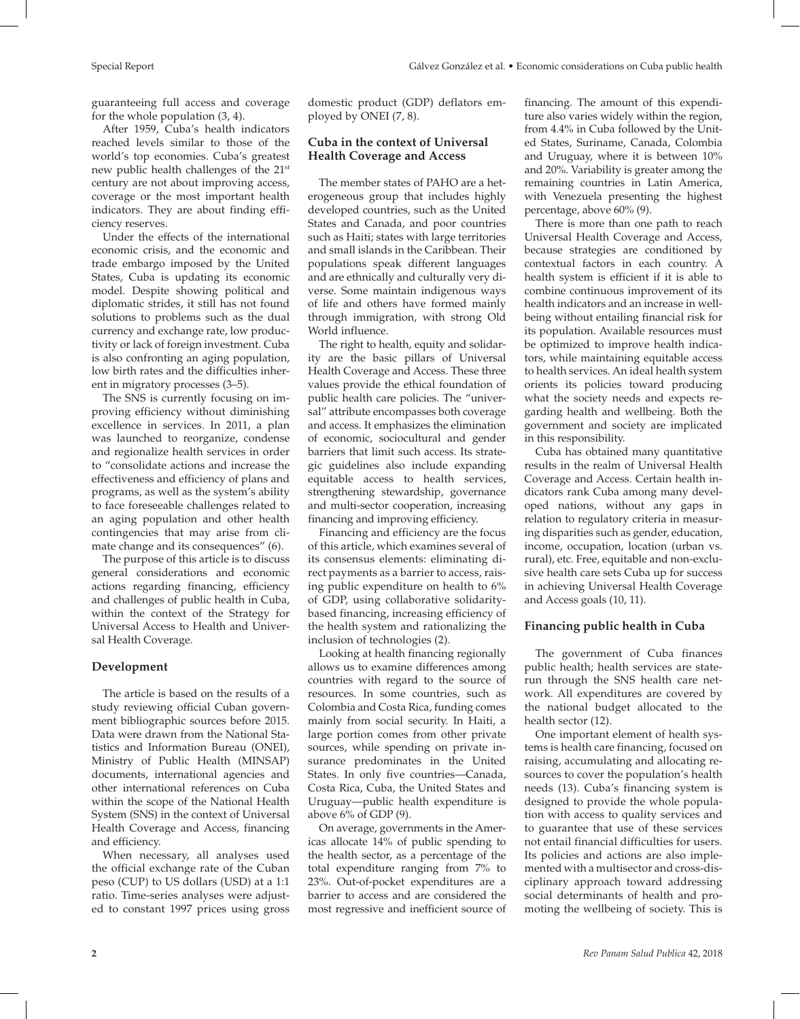guaranteeing full access and coverage for the whole population (3, 4).

After 1959, Cuba's health indicators reached levels similar to those of the world's top economies. Cuba's greatest new public health challenges of the 21st century are not about improving access, coverage or the most important health indicators. They are about finding efficiency reserves.

Under the effects of the international economic crisis, and the economic and trade embargo imposed by the United States, Cuba is updating its economic model. Despite showing political and diplomatic strides, it still has not found solutions to problems such as the dual currency and exchange rate, low productivity or lack of foreign investment. Cuba is also confronting an aging population, low birth rates and the difficulties inherent in migratory processes (3–5).

The SNS is currently focusing on improving efficiency without diminishing excellence in services. In 2011, a plan was launched to reorganize, condense and regionalize health services in order to "consolidate actions and increase the effectiveness and efficiency of plans and programs, as well as the system's ability to face foreseeable challenges related to an aging population and other health contingencies that may arise from climate change and its consequences" (6).

The purpose of this article is to discuss general considerations and economic actions regarding financing, efficiency and challenges of public health in Cuba, within the context of the Strategy for Universal Access to Health and Universal Health Coverage.

# **Development**

The article is based on the results of a study reviewing official Cuban government bibliographic sources before 2015. Data were drawn from the National Statistics and Information Bureau (ONEI), Ministry of Public Health (MINSAP) documents, international agencies and other international references on Cuba within the scope of the National Health System (SNS) in the context of Universal Health Coverage and Access, financing and efficiency.

When necessary, all analyses used the official exchange rate of the Cuban peso (CUP) to US dollars (USD) at a 1:1 ratio. Time-series analyses were adjusted to constant 1997 prices using gross

# **Cuba in the context of Universal Health Coverage and Access**

The member states of PAHO are a heterogeneous group that includes highly developed countries, such as the United States and Canada, and poor countries such as Haiti; states with large territories and small islands in the Caribbean. Their populations speak different languages and are ethnically and culturally very diverse. Some maintain indigenous ways of life and others have formed mainly through immigration, with strong Old World influence.

The right to health, equity and solidarity are the basic pillars of Universal Health Coverage and Access. These three values provide the ethical foundation of public health care policies. The "universal" attribute encompasses both coverage and access. It emphasizes the elimination of economic, sociocultural and gender barriers that limit such access. Its strategic guidelines also include expanding equitable access to health services, strengthening stewardship, governance and multi-sector cooperation, increasing financing and improving efficiency.

Financing and efficiency are the focus of this article, which examines several of its consensus elements: eliminating direct payments as a barrier to access, raising public expenditure on health to 6% of GDP, using collaborative solidaritybased financing, increasing efficiency of the health system and rationalizing the inclusion of technologies (2).

Looking at health financing regionally allows us to examine differences among countries with regard to the source of resources. In some countries, such as Colombia and Costa Rica, funding comes mainly from social security. In Haiti, a large portion comes from other private sources, while spending on private insurance predominates in the United States. In only five countries—Canada, Costa Rica, Cuba, the United States and Uruguay—public health expenditure is above 6% of GDP (9).

On average, governments in the Americas allocate 14% of public spending to the health sector, as a percentage of the total expenditure ranging from 7% to 23%. Out-of-pocket expenditures are a barrier to access and are considered the most regressive and inefficient source of financing. The amount of this expenditure also varies widely within the region, from 4.4% in Cuba followed by the United States, Suriname, Canada, Colombia and Uruguay, where it is between 10% and 20%. Variability is greater among the remaining countries in Latin America, with Venezuela presenting the highest percentage, above 60% (9).

There is more than one path to reach Universal Health Coverage and Access, because strategies are conditioned by contextual factors in each country. A health system is efficient if it is able to combine continuous improvement of its health indicators and an increase in wellbeing without entailing financial risk for its population. Available resources must be optimized to improve health indicators, while maintaining equitable access to health services. An ideal health system orients its policies toward producing what the society needs and expects regarding health and wellbeing. Both the government and society are implicated in this responsibility.

Cuba has obtained many quantitative results in the realm of Universal Health Coverage and Access. Certain health indicators rank Cuba among many developed nations, without any gaps in relation to regulatory criteria in measuring disparities such as gender, education, income, occupation, location (urban vs. rural), etc. Free, equitable and non-exclusive health care sets Cuba up for success in achieving Universal Health Coverage and Access goals (10, 11).

# **Financing public health in Cuba**

The government of Cuba finances public health; health services are staterun through the SNS health care network. All expenditures are covered by the national budget allocated to the health sector (12).

One important element of health systems is health care financing, focused on raising, accumulating and allocating resources to cover the population's health needs (13). Cuba's financing system is designed to provide the whole population with access to quality services and to guarantee that use of these services not entail financial difficulties for users. Its policies and actions are also implemented with a multisector and cross-disciplinary approach toward addressing social determinants of health and promoting the wellbeing of society. This is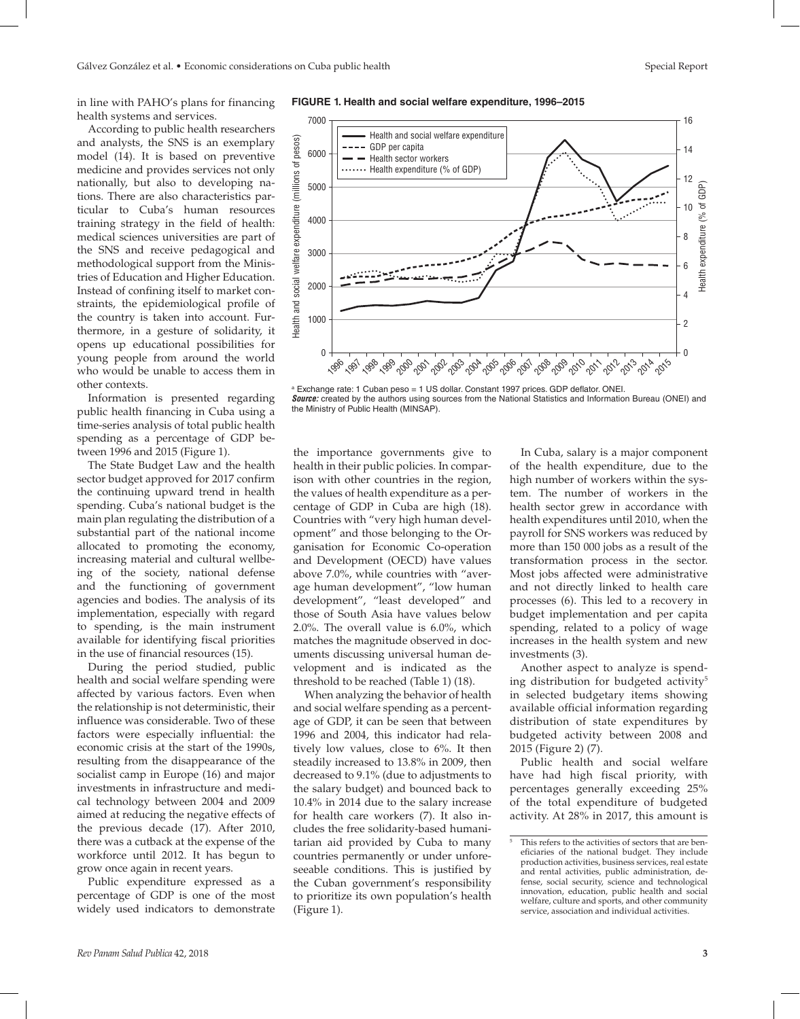in line with PAHO's plans for financing health systems and services.

According to public health researchers and analysts, the SNS is an exemplary model (14). It is based on preventive medicine and provides services not only nationally, but also to developing nations. There are also characteristics particular to Cuba's human resources training strategy in the field of health: medical sciences universities are part of the SNS and receive pedagogical and methodological support from the Ministries of Education and Higher Education. Instead of confining itself to market constraints, the epidemiological profile of the country is taken into account. Furthermore, in a gesture of solidarity, it opens up educational possibilities for young people from around the world who would be unable to access them in other contexts.

Information is presented regarding public health financing in Cuba using a time-series analysis of total public health spending as a percentage of GDP between 1996 and 2015 (Figure 1).

The State Budget Law and the health sector budget approved for 2017 confirm the continuing upward trend in health spending. Cuba's national budget is the main plan regulating the distribution of a substantial part of the national income allocated to promoting the economy, increasing material and cultural wellbeing of the society, national defense and the functioning of government agencies and bodies. The analysis of its implementation, especially with regard to spending, is the main instrument available for identifying fiscal priorities in the use of financial resources (15).

During the period studied, public health and social welfare spending were affected by various factors. Even when the relationship is not deterministic, their influence was considerable. Two of these factors were especially influential: the economic crisis at the start of the 1990s, resulting from the disappearance of the socialist camp in Europe (16) and major investments in infrastructure and medical technology between 2004 and 2009 aimed at reducing the negative effects of the previous decade (17). After 2010, there was a cutback at the expense of the workforce until 2012. It has begun to grow once again in recent years.

Public expenditure expressed as a percentage of GDP is one of the most widely used indicators to demonstrate



a Exchange rate: 1 Cuban peso = 1 US dollar. Constant 1997 prices. GDP deflator. ONEI. *Source:* created by the authors using sources from the National Statistics and Information Bureau (ONEI) and the Ministry of Public Health (MINSAP).

the importance governments give to health in their public policies. In comparison with other countries in the region, the values of health expenditure as a percentage of GDP in Cuba are high (18). Countries with "very high human development" and those belonging to the Organisation for Economic Co-operation and Development (OECD) have values above 7.0%, while countries with "average human development", "low human development", "least developed" and those of South Asia have values below 2.0%. The overall value is 6.0%, which matches the magnitude observed in documents discussing universal human development and is indicated as the threshold to be reached (Table 1) (18).

When analyzing the behavior of health and social welfare spending as a percentage of GDP, it can be seen that between 1996 and 2004, this indicator had relatively low values, close to 6%. It then steadily increased to 13.8% in 2009, then decreased to 9.1% (due to adjustments to the salary budget) and bounced back to 10.4% in 2014 due to the salary increase for health care workers (7). It also includes the free solidarity-based humanitarian aid provided by Cuba to many countries permanently or under unforeseeable conditions. This is justified by the Cuban government's responsibility to prioritize its own population's health (Figure 1).

In Cuba, salary is a major component of the health expenditure, due to the high number of workers within the system. The number of workers in the health sector grew in accordance with health expenditures until 2010, when the payroll for SNS workers was reduced by more than 150 000 jobs as a result of the transformation process in the sector. Most jobs affected were administrative and not directly linked to health care processes (6). This led to a recovery in budget implementation and per capita spending, related to a policy of wage increases in the health system and new investments (3).

Another aspect to analyze is spending distribution for budgeted activity<sup>5</sup> in selected budgetary items showing available official information regarding distribution of state expenditures by budgeted activity between 2008 and 2015 (Figure 2) (7).

Public health and social welfare have had high fiscal priority, with percentages generally exceeding 25% of the total expenditure of budgeted activity. At 28% in 2017, this amount is

This refers to the activities of sectors that are beneficiaries of the national budget. They include production activities, business services, real estate and rental activities, public administration, defense, social security, science and technological innovation, education, public health and social welfare, culture and sports, and other community service, association and individual activities.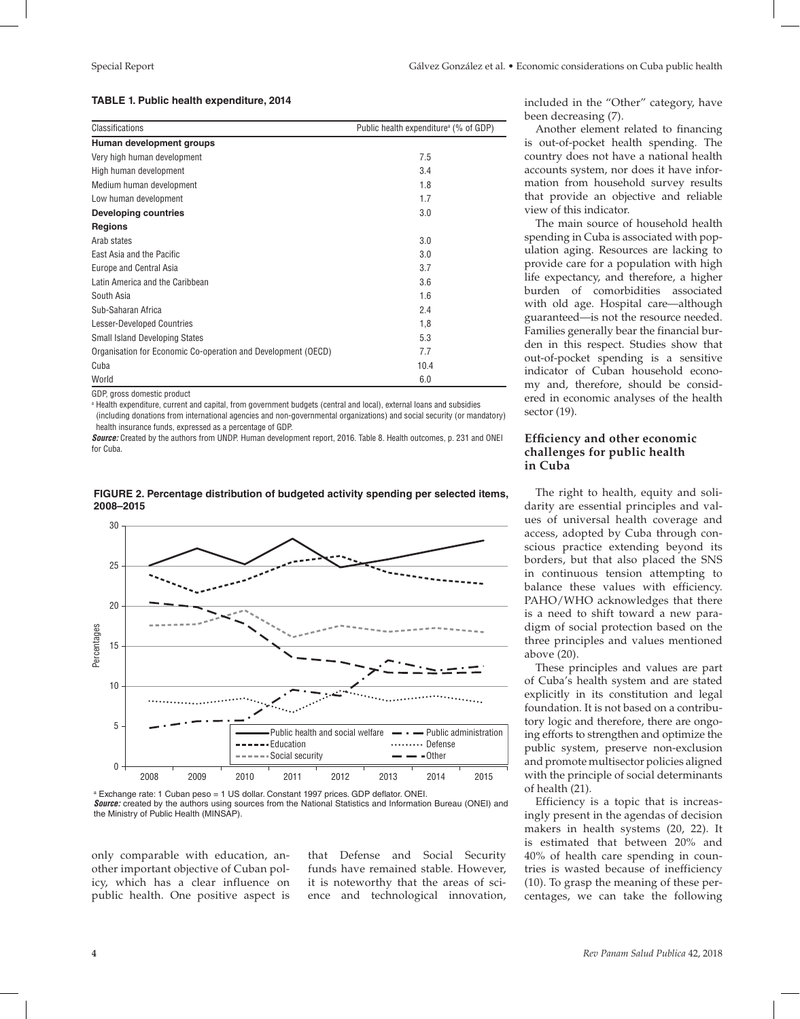#### **TABLE 1. Public health expenditure, 2014**

| <b>Classifications</b>                                        | Public health expenditure <sup>a</sup> (% of GDP) |
|---------------------------------------------------------------|---------------------------------------------------|
| Human development groups                                      |                                                   |
| Very high human development                                   | 7.5                                               |
| High human development                                        | 3.4                                               |
| Medium human development                                      | 1.8                                               |
| Low human development                                         | 1.7                                               |
| <b>Developing countries</b>                                   | 3.0                                               |
| <b>Regions</b>                                                |                                                   |
| Arab states                                                   | 3.0                                               |
| East Asia and the Pacific                                     | 3.0                                               |
| Europe and Central Asia                                       | 3.7                                               |
| Latin America and the Caribbean                               | 3.6                                               |
| South Asia                                                    | 1.6                                               |
| Sub-Saharan Africa                                            | 2.4                                               |
| <b>Lesser-Developed Countries</b>                             | 1,8                                               |
| <b>Small Island Developing States</b>                         | 5.3                                               |
| Organisation for Economic Co-operation and Development (OECD) | 7.7                                               |
| Cuba                                                          | 10.4                                              |
| World                                                         | 6.0                                               |

GDP, gross domestic product

a Health expenditure, current and capital, from government budgets (central and local), external loans and subsidies

(including donations from international agencies and non-governmental organizations) and social security (or mandatory) health insurance funds, expressed as a percentage of GDP.

*Source:* Created by the authors from UNDP. Human development report, 2016. Table 8. Health outcomes, p. 231 and ONEI for Cuba.



#### **FIGURE 2. Percentage distribution of budgeted activity spending per selected items, 2008–2015**

a Exchange rate: 1 Cuban peso = 1 US dollar. Constant 1997 prices. GDP deflator. ONEI. *Source:* created by the authors using sources from the National Statistics and Information Bureau (ONEI) and the Ministry of Public Health (MINSAP).

only comparable with education, another important objective of Cuban policy, which has a clear influence on public health. One positive aspect is that Defense and Social Security funds have remained stable. However, it is noteworthy that the areas of science and technological innovation,

included in the "Other" category, have been decreasing (7).

Another element related to financing is out-of-pocket health spending. The country does not have a national health accounts system, nor does it have information from household survey results that provide an objective and reliable view of this indicator.

The main source of household health spending in Cuba is associated with population aging. Resources are lacking to provide care for a population with high life expectancy, and therefore, a higher burden of comorbidities associated with old age. Hospital care—although guaranteed—is not the resource needed. Families generally bear the financial burden in this respect. Studies show that out-of-pocket spending is a sensitive indicator of Cuban household economy and, therefore, should be considered in economic analyses of the health sector (19).

## **Efficiency and other economic challenges for public health in Cuba**

The right to health, equity and solidarity are essential principles and values of universal health coverage and access, adopted by Cuba through conscious practice extending beyond its borders, but that also placed the SNS in continuous tension attempting to balance these values with efficiency. PAHO/WHO acknowledges that there is a need to shift toward a new paradigm of social protection based on the three principles and values mentioned above (20).

These principles and values are part of Cuba's health system and are stated explicitly in its constitution and legal foundation. It is not based on a contributory logic and therefore, there are ongoing efforts to strengthen and optimize the public system, preserve non-exclusion and promote multisector policies aligned with the principle of social determinants of health (21).

Efficiency is a topic that is increasingly present in the agendas of decision makers in health systems (20, 22). It is estimated that between 20% and 40% of health care spending in countries is wasted because of inefficiency (10). To grasp the meaning of these percentages, we can take the following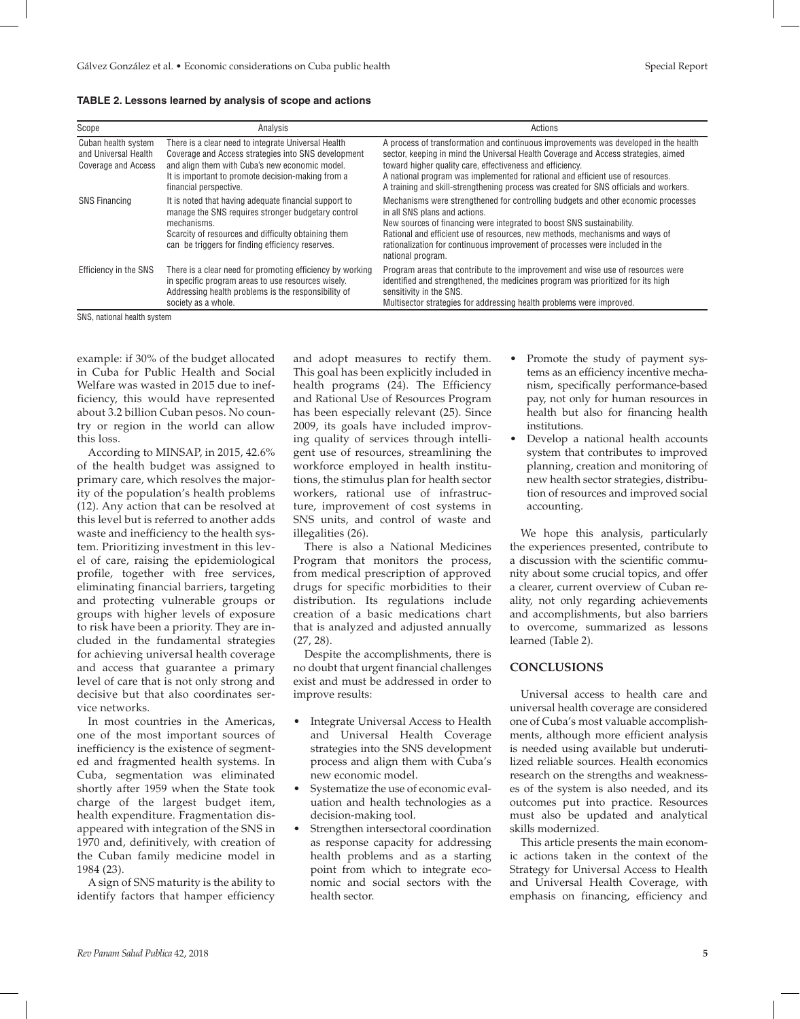| Scope                                                              | Analysis                                                                                                                                                                                                                                    | Actions                                                                                                                                                                                                                                                                                                                                                                                                            |
|--------------------------------------------------------------------|---------------------------------------------------------------------------------------------------------------------------------------------------------------------------------------------------------------------------------------------|--------------------------------------------------------------------------------------------------------------------------------------------------------------------------------------------------------------------------------------------------------------------------------------------------------------------------------------------------------------------------------------------------------------------|
| Cuban health system<br>and Universal Health<br>Coverage and Access | There is a clear need to integrate Universal Health<br>Coverage and Access strategies into SNS development<br>and align them with Cuba's new economic model.<br>It is important to promote decision-making from a<br>financial perspective. | A process of transformation and continuous improvements was developed in the health<br>sector, keeping in mind the Universal Health Coverage and Access strategies, aimed<br>toward higher quality care, effectiveness and efficiency.<br>A national program was implemented for rational and efficient use of resources.<br>A training and skill-strengthening process was created for SNS officials and workers. |
| <b>SNS Financing</b>                                               | It is noted that having adequate financial support to<br>manage the SNS requires stronger budgetary control<br>mechanisms.<br>Scarcity of resources and difficulty obtaining them<br>can be triggers for finding efficiency reserves.       | Mechanisms were strengthened for controlling budgets and other economic processes<br>in all SNS plans and actions.<br>New sources of financing were integrated to boost SNS sustainability.<br>Rational and efficient use of resources, new methods, mechanisms and ways of<br>rationalization for continuous improvement of processes were included in the<br>national program.                                   |
| <b>Efficiency in the SNS</b>                                       | There is a clear need for promoting efficiency by working<br>in specific program areas to use resources wisely.<br>Addressing health problems is the responsibility of<br>society as a whole.                                               | Program areas that contribute to the improvement and wise use of resources were<br>identified and strengthened, the medicines program was prioritized for its high<br>sensitivity in the SNS.<br>Multisector strategies for addressing health problems were improved.                                                                                                                                              |

**TABLE 2. Lessons learned by analysis of scope and actions**

SNS, national health system

example: if 30% of the budget allocated in Cuba for Public Health and Social Welfare was wasted in 2015 due to inefficiency, this would have represented about 3.2 billion Cuban pesos. No country or region in the world can allow this loss.

According to MINSAP, in 2015, 42.6% of the health budget was assigned to primary care, which resolves the majority of the population's health problems (12). Any action that can be resolved at this level but is referred to another adds waste and inefficiency to the health system. Prioritizing investment in this level of care, raising the epidemiological profile, together with free services, eliminating financial barriers, targeting and protecting vulnerable groups or groups with higher levels of exposure to risk have been a priority. They are included in the fundamental strategies for achieving universal health coverage and access that guarantee a primary level of care that is not only strong and decisive but that also coordinates service networks.

In most countries in the Americas, one of the most important sources of inefficiency is the existence of segmented and fragmented health systems. In Cuba, segmentation was eliminated shortly after 1959 when the State took charge of the largest budget item, health expenditure. Fragmentation disappeared with integration of the SNS in 1970 and, definitively, with creation of the Cuban family medicine model in 1984 (23).

A sign of SNS maturity is the ability to identify factors that hamper efficiency

and adopt measures to rectify them. This goal has been explicitly included in health programs (24). The Efficiency and Rational Use of Resources Program has been especially relevant (25). Since 2009, its goals have included improving quality of services through intelligent use of resources, streamlining the workforce employed in health institutions, the stimulus plan for health sector workers, rational use of infrastructure, improvement of cost systems in SNS units, and control of waste and illegalities (26).

There is also a National Medicines Program that monitors the process, from medical prescription of approved drugs for specific morbidities to their distribution. Its regulations include creation of a basic medications chart that is analyzed and adjusted annually (27, 28).

Despite the accomplishments, there is no doubt that urgent financial challenges exist and must be addressed in order to improve results:

- Integrate Universal Access to Health and Universal Health Coverage strategies into the SNS development process and align them with Cuba's new economic model.
- Systematize the use of economic evaluation and health technologies as a decision-making tool.
- Strengthen intersectoral coordination as response capacity for addressing health problems and as a starting point from which to integrate economic and social sectors with the health sector.
- Promote the study of payment systems as an efficiency incentive mechanism, specifically performance-based pay, not only for human resources in health but also for financing health institutions.
- Develop a national health accounts system that contributes to improved planning, creation and monitoring of new health sector strategies, distribution of resources and improved social accounting.

We hope this analysis, particularly the experiences presented, contribute to a discussion with the scientific community about some crucial topics, and offer a clearer, current overview of Cuban reality, not only regarding achievements and accomplishments, but also barriers to overcome, summarized as lessons learned (Table 2).

# **CONCLUSIONS**

Universal access to health care and universal health coverage are considered one of Cuba's most valuable accomplishments, although more efficient analysis is needed using available but underutilized reliable sources. Health economics research on the strengths and weaknesses of the system is also needed, and its outcomes put into practice. Resources must also be updated and analytical skills modernized.

This article presents the main economic actions taken in the context of the Strategy for Universal Access to Health and Universal Health Coverage, with emphasis on financing, efficiency and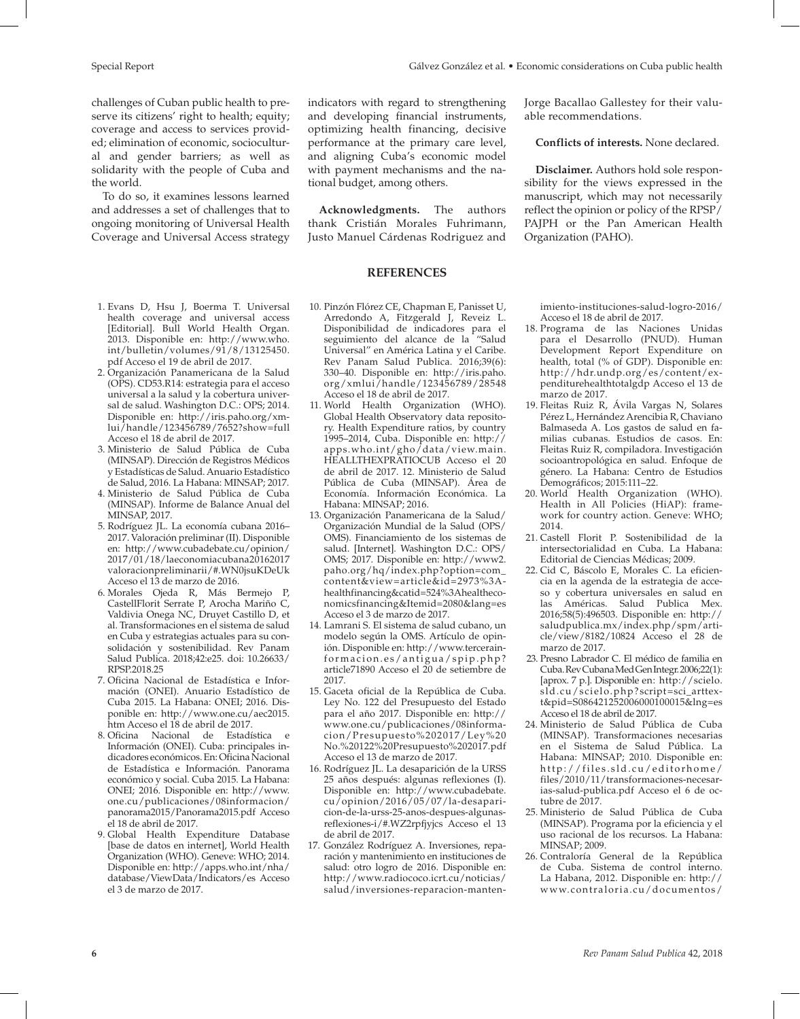challenges of Cuban public health to preserve its citizens' right to health; equity; coverage and access to services provided; elimination of economic, sociocultural and gender barriers; as well as solidarity with the people of Cuba and the world.

To do so, it examines lessons learned and addresses a set of challenges that to ongoing monitoring of Universal Health Coverage and Universal Access strategy

- 1. Evans D, Hsu J, Boerma T. Universal health coverage and universal access [Editorial]. Bull World Health Organ. 2013. Disponible en: [http://www.who.](http://www.who.int/bulletin/volumes/91/8/13125450.pdf) [int/bulletin/volumes/91/8/13125450.](http://www.who.int/bulletin/volumes/91/8/13125450.pdf) [pdf](http://www.who.int/bulletin/volumes/91/8/13125450.pdf) Acceso el 19 de abril de 2017.
- 2. Organización Panamericana de la Salud (OPS). CD53.R14: estrategia para el acceso universal a la salud y la cobertura universal de salud. Washington D.C.: OPS; 2014. Disponible en: [http://iris.paho.org/xm](http://iris.paho.org/xmlui/handle/123456789/7652?show=full)[lui/handle/123456789/7652?show=full](http://iris.paho.org/xmlui/handle/123456789/7652?show=full) Acceso el 18 de abril de 2017.
- 3. Ministerio de Salud Pública de Cuba (MINSAP). Dirección de Registros Médicos y Estadísticas de Salud. Anuario Estadístico de Salud, 2016. La Habana: MINSAP; 2017.
- 4. Ministerio de Salud Pública de Cuba (MINSAP). Informe de Balance Anual del MINSAP, 2017.
- 5. Rodríguez JL. La economía cubana 2016– 2017. Valoración preliminar (II). Disponible en: [http://www.cubadebate.cu/opinion/](http://www.cubadebate.cu/opinion/2017/01/18/laeconomiacubana20162017valoracionpreliminarii/#.WN0jsuKDeUk) [2017/01/18/laeconomiacubana20162017](http://www.cubadebate.cu/opinion/2017/01/18/laeconomiacubana20162017valoracionpreliminarii/#.WN0jsuKDeUk) [valoracionpreliminarii/#.WN0jsuKDeUk](http://www.cubadebate.cu/opinion/2017/01/18/laeconomiacubana20162017valoracionpreliminarii/#.WN0jsuKDeUk) Acceso el 13 de marzo de 2016.
- 6. Morales Ojeda R, Más Bermejo P, CastellFlorit Serrate P, Arocha Mariño C, Valdivia Onega NC, Druyet Castillo D, et al. Transformaciones en el sistema de salud en Cuba y estrategias actuales para su consolidación y sostenibilidad. Rev Panam Salud Publica. 2018;42:e25. doi: 10.26633/ RPSP.2018.25
- 7. Oficina Nacional de Estadística e Información (ONEI). Anuario Estadístico de Cuba 2015. La Habana: ONEI; 2016. Disponible en: [http://www.one.cu/aec2015.](http://www.one.cu/aec2015.htm) [htm](http://www.one.cu/aec2015.htm) Acceso el 18 de abril de 2017.
- 8. Oficina Nacional de Estadística e Información (ONEI). Cuba: principales indicadores económicos. En: Oficina Nacional de Estadística e Información. Panorama económico y social. Cuba 2015. La Habana: ONEI; 2016. Disponible en: [http://www.](http://www.one.cu/publicaciones/08informacion/panorama2015/Panorama2015.pdf) [one.cu/publicaciones/08informacion/](http://www.one.cu/publicaciones/08informacion/panorama2015/Panorama2015.pdf) [panorama2015/Panorama2015.pdf](http://www.one.cu/publicaciones/08informacion/panorama2015/Panorama2015.pdf) Acceso el 18 de abril de 2017.
- 9. Global Health Expenditure Database [base de datos en internet], World Health Organization (WHO). Geneve: WHO; 2014. Disponible en: [http://apps.who.int/nha/](http://apps.who.int/nha/database/ViewData/Indicators/es) [database/ViewData/Indicators/es](http://apps.who.int/nha/database/ViewData/Indicators/es) Acceso el 3 de marzo de 2017.

10. Pinzón Flórez CE, Chapman E, Panisset U, Arredondo A, Fitzgerald J, Reveiz L. Disponibilidad de indicadores para el seguimiento del alcance de la "Salud Universal" en América Latina y el Caribe. Rev Panam Salud Publica. 2016;39(6): 330–40. Disponible en: [http://iris.paho.](http://iris.paho.org/xmlui/handle/123456789/28548) [org/xmlui/handle/123456789/28548](http://iris.paho.org/xmlui/handle/123456789/28548)

**REFERENCES**

performance at the primary care level, and aligning Cuba's economic model with payment mechanisms and the na-

**Acknowledgments.** The authors thank Cristián Morales Fuhrimann, Justo Manuel Cárdenas Rodriguez and

tional budget, among others.

Acceso el 18 de abril de 2017. 11. World Health Organization (WHO). Global Health Observatory data repository. Health Expenditure ratios, by country 1995–2014, Cuba. Disponible en: [http://](http://apps.who.int/gho/data/view.main.HEALLTHEXPRATIOCUB) [apps.who.int/gho/data/view.main.](http://apps.who.int/gho/data/view.main.HEALLTHEXPRATIOCUB) [HEALLTHEXPRATIOCUB](http://apps.who.int/gho/data/view.main.HEALLTHEXPRATIOCUB) Acceso el 20 de abril de 2017. 12. Ministerio de Salud Pública de Cuba (MINSAP). Área de Economía. Información Económica. La

Habana: MINSAP; 2016.

Acceso el 3 de marzo de 2017. 14. Lamrani S. El sistema de salud cubano, un modelo según la OMS. Artículo de opinión. Disponible en: [http://www.tercerain](http://www.tercerainformacion.es/antigua/spip.php?article71890)[formacion.es/antigua/spip.php?](http://www.tercerainformacion.es/antigua/spip.php?article71890) [article71890](http://www.tercerainformacion.es/antigua/spip.php?article71890) Acceso el 20 de setiembre de

2017.

13. Organización Panamericana de la Salud/ Organización Mundial de la Salud (OPS/ OMS). Financiamiento de los sistemas de salud. [Internet]. Washington D.C.: OPS/ OMS; 2017. Disponible en: [http://www2.](http://www2.paho.org/hq/index.php?option=com_content&view=article&id=2973%3Ahealthfinancing&catid=524%3Ahealtheconomicsfinancing&Itemid=2080&lang=es) [paho.org/hq/index.php?option=com\\_](http://www2.paho.org/hq/index.php?option=com_content&view=article&id=2973%3Ahealthfinancing&catid=524%3Ahealtheconomicsfinancing&Itemid=2080&lang=es) [content&view=article&id=2973%3A](http://www2.paho.org/hq/index.php?option=com_content&view=article&id=2973%3Ahealthfinancing&catid=524%3Ahealtheconomicsfinancing&Itemid=2080&lang=es)[healthfinancing&catid=524%3Ahealtheco](http://www2.paho.org/hq/index.php?option=com_content&view=article&id=2973%3Ahealthfinancing&catid=524%3Ahealtheconomicsfinancing&Itemid=2080&lang=es)[nomicsfinancing&Itemid=2080&lang=es](http://www2.paho.org/hq/index.php?option=com_content&view=article&id=2973%3Ahealthfinancing&catid=524%3Ahealtheconomicsfinancing&Itemid=2080&lang=es)

15. Gaceta oficial de la República de Cuba. Ley No. 122 del Presupuesto del Estado para el año 2017. Disponible en: [http://](http://www.one.cu/publicaciones/08informacion/Presupuesto%202017/Ley%20No.%20122%20Presupuesto%202017.pdf) [www.one.cu/publicaciones/08informa](http://www.one.cu/publicaciones/08informacion/Presupuesto%202017/Ley%20No.%20122%20Presupuesto%202017.pdf)[cion/Presupuesto%202017/Ley%20](http://www.one.cu/publicaciones/08informacion/Presupuesto%202017/Ley%20No.%20122%20Presupuesto%202017.pdf) [No.%20122%20Presupuesto%202017.pdf](http://www.one.cu/publicaciones/08informacion/Presupuesto%202017/Ley%20No.%20122%20Presupuesto%202017.pdf)

17. González Rodríguez A. Inversiones, reparación y mantenimiento en instituciones de salud: otro logro de 2016. Disponible en: [http://www.radiococo.icrt.cu/noticias/](http://www.radiococo.icrt.cu/noticias/salud/inversiones-reparacion-mantenimiento-instituciones-salud-logro-2016/) [salud/inversiones-reparacion-manten-](http://www.radiococo.icrt.cu/noticias/salud/inversiones-reparacion-mantenimiento-instituciones-salud-logro-2016/)

Acceso el 13 de marzo de 2017. 16. Rodríguez JL. La desaparición de la URSS 25 años después: algunas reflexiones (I). Disponible en: http://www.cubadebate. cu/opinion/2016/05/07/la-desaparicion-de-la-urss-25-anos-despues-algunasreflexiones-i/#.WZ2rpfjyjcs Acceso el 13

de abril de 2017.

### **Conflicts of interests.** None declared.

**Disclaimer.** Authors hold sole responsibility for the views expressed in the manuscript, which may not necessarily reflect the opinion or policy of the RPSP/ PAJPH or the Pan American Health Organization (PAHO).

[imiento-instituciones-salud-logro-2016/](http://www.radiococo.icrt.cu/noticias/salud/inversiones-reparacion-mantenimiento-instituciones-salud-logro-2016/) Acceso el 18 de abril de 2017.

- 18. Programa de las Naciones Unidas para el Desarrollo (PNUD). Human Development Report Expenditure on health, total (% of GDP). Disponible en: [http://hdr.undp.org/es/content/ex](http://hdr.undp.org/es/content/expenditurehealthtotalgdp)[penditurehealthtotalgdp](http://hdr.undp.org/es/content/expenditurehealthtotalgdp) Acceso el 13 de marzo de 2017.
- 19. Fleitas Ruiz R, Ávila Vargas N, Solares Pérez L, Hernández Arencibia R, Chaviano Balmaseda A. Los gastos de salud en familias cubanas. Estudios de casos. En: Fleitas Ruiz R, compiladora. Investigación socioantropológica en salud. Enfoque de género. La Habana: Centro de Estudios Demográficos; 2015:111–22.
- 20. World Health Organization (WHO). Health in All Policies (HiAP): framework for country action. Geneve: WHO; 2014.
- 21. Castell Florit P. Sostenibilidad de la intersectorialidad en Cuba. La Habana: Editorial de Ciencias Médicas; 2009.
- 22. Cid C, Báscolo E, Morales C. La eficiencia en la agenda de la estrategia de acceso y cobertura universales en salud en las Américas. Salud Publica Mex. 2016;58(5):496503. Disponible en: [http://](http://saludpublica.mx/index.php/spm/article/view/8182/10824) [saludpublica.mx/index.php/spm/arti](http://saludpublica.mx/index.php/spm/article/view/8182/10824)[cle/view/8182/10824](http://saludpublica.mx/index.php/spm/article/view/8182/10824) Acceso el 28 de marzo de 2017.
- 23. Presno Labrador C. El médico de familia en Cuba. Rev Cubana Med Gen Integr.2006;22(1): [aprox. 7 p.]. Disponible en: [http://scielo.](http://scielo.sld.cu/scielo.php?script=sci_arttext&pid=S086421252006000100015&lng=es) [sld.cu/scielo.php?script=sci\\_arttex](http://scielo.sld.cu/scielo.php?script=sci_arttext&pid=S086421252006000100015&lng=es)[t&pid=S086421252006000100015&lng=es](http://scielo.sld.cu/scielo.php?script=sci_arttext&pid=S086421252006000100015&lng=es) Acceso el 18 de abril de 2017.
- 24. Ministerio de Salud Pública de Cuba (MINSAP). Transformaciones necesarias en el Sistema de Salud Pública. La Habana: MINSAP; 2010. Disponible en: [http://files.sld.cu/editorhome/](http://files.sld.cu/editorhome/files/2010/11/transformaciones-necesarias-salud-publica.pdf) [files/2010/11/transformaciones-necesar](http://files.sld.cu/editorhome/files/2010/11/transformaciones-necesarias-salud-publica.pdf)[ias-salud-publica.pdf](http://files.sld.cu/editorhome/files/2010/11/transformaciones-necesarias-salud-publica.pdf) Acceso el 6 de octubre de 2017.
- 25. Ministerio de Salud Pública de Cuba (MINSAP). Programa por la eficiencia y el uso racional de los recursos. La Habana: MINSAP; 2009.
- 26. Contraloría General de la República de Cuba. Sistema de control interno. La Habana, 2012. Disponible en: [http://](http://www.contraloria.cu/documentos/folletoSistemaCl.pdf) [www.contraloria.cu/documentos/](http://www.contraloria.cu/documentos/folletoSistemaCl.pdf)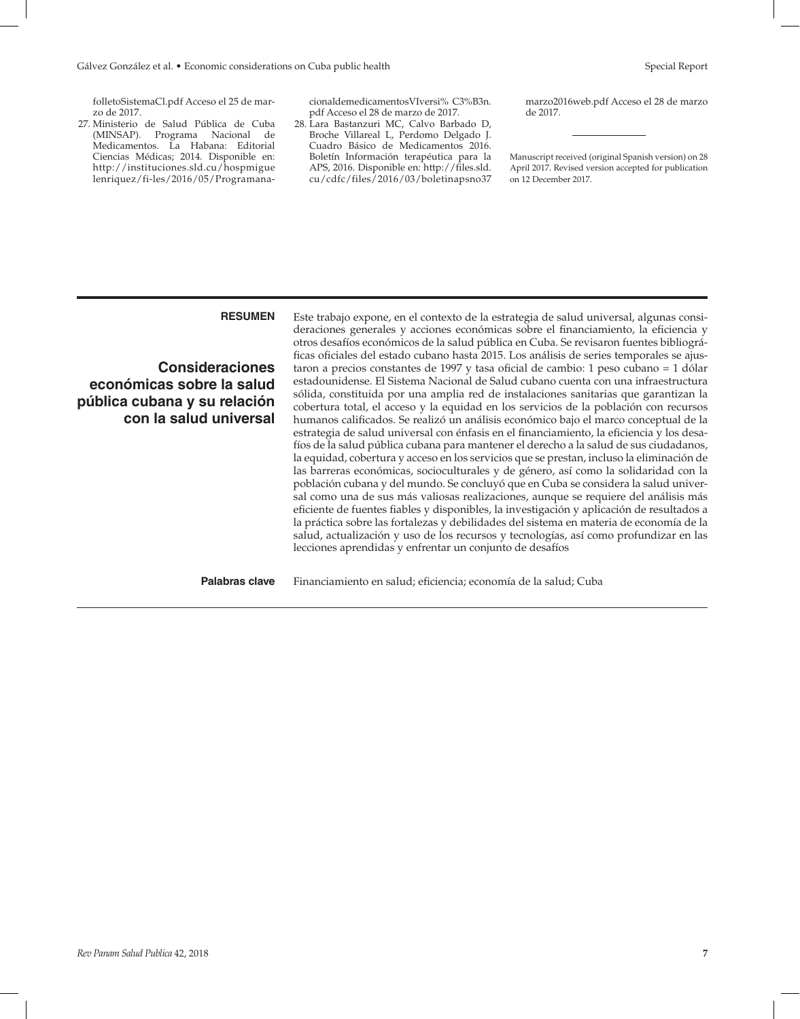[folletoSistemaCl.pdf](http://www.contraloria.cu/documentos/folletoSistemaCl.pdf) Acceso el 25 de marzo de 2017.

27. Ministerio de Salud Pública de Cuba (MINSAP). Programa Nacional de Medicamentos. La Habana: Editorial Ciencias Médicas; 2014. Disponible en: [http://instituciones.sld.cu/hospmigue](http://instituciones.sld.cu/hospmiguelenriquez/fi-les/2016/05/ProgramanacionaldemedicamentosVIversi% C3%B3n.pdf) [lenriquez/fi-les/2016/05/Programana-](http://instituciones.sld.cu/hospmiguelenriquez/fi-les/2016/05/ProgramanacionaldemedicamentosVIversi% C3%B3n.pdf) [cionaldemedicamentosVIversi% C3%B3n.](http://instituciones.sld.cu/hospmiguelenriquez/fi-les/2016/05/ProgramanacionaldemedicamentosVIversi% C3%B3n.pdf) [pdf](http://instituciones.sld.cu/hospmiguelenriquez/fi-les/2016/05/ProgramanacionaldemedicamentosVIversi% C3%B3n.pdf) Acceso el 28 de marzo de 2017.

28. Lara Bastanzuri MC, Calvo Barbado D, Broche Villareal L, Perdomo Delgado J. Cuadro Básico de Medicamentos 2016. Boletín Información terapéutica para la APS, 2016. Disponible en: [http://files.sld.](http://files.sld.cu/cdfc/files/2016/03/boletinapsno37marzo2016web.pdf) [cu/cdfc/files/2016/03/boletinapsno37](http://files.sld.cu/cdfc/files/2016/03/boletinapsno37marzo2016web.pdf)

[marzo2016web.pdf](http://files.sld.cu/cdfc/files/2016/03/boletinapsno37marzo2016web.pdf) Acceso el 28 de marzo de 2017.

Manuscript received (original Spanish version) on 28 April 2017. Revised version accepted for publication on 12 December 2017.

**Consideraciones económicas sobre la salud pública cubana y su relación con la salud universal**

**RESUMEN** Este trabajo expone, en el contexto de la estrategia de salud universal, algunas consideraciones generales y acciones económicas sobre el financiamiento, la eficiencia y otros desafíos económicos de la salud pública en Cuba. Se revisaron fuentes bibliográficas oficiales del estado cubano hasta 2015. Los análisis de series temporales se ajustaron a precios constantes de 1997 y tasa oficial de cambio: 1 peso cubano = 1 dólar estadounidense. El Sistema Nacional de Salud cubano cuenta con una infraestructura sólida, constituida por una amplia red de instalaciones sanitarias que garantizan la cobertura total, el acceso y la equidad en los servicios de la población con recursos humanos calificados. Se realizó un análisis económico bajo el marco conceptual de la estrategia de salud universal con énfasis en el financiamiento, la eficiencia y los desafíos de la salud pública cubana para mantener el derecho a la salud de sus ciudadanos, la equidad, cobertura y acceso en los servicios que se prestan, incluso la eliminación de las barreras económicas, socioculturales y de género, así como la solidaridad con la población cubana y del mundo. Se concluyó que en Cuba se considera la salud universal como una de sus más valiosas realizaciones, aunque se requiere del análisis más eficiente de fuentes fiables y disponibles, la investigación y aplicación de resultados a la práctica sobre las fortalezas y debilidades del sistema en materia de economía de la salud, actualización y uso de los recursos y tecnologías, así como profundizar en las lecciones aprendidas y enfrentar un conjunto de desafíos

Palabras clave Financiamiento en salud; eficiencia; economía de la salud; Cuba